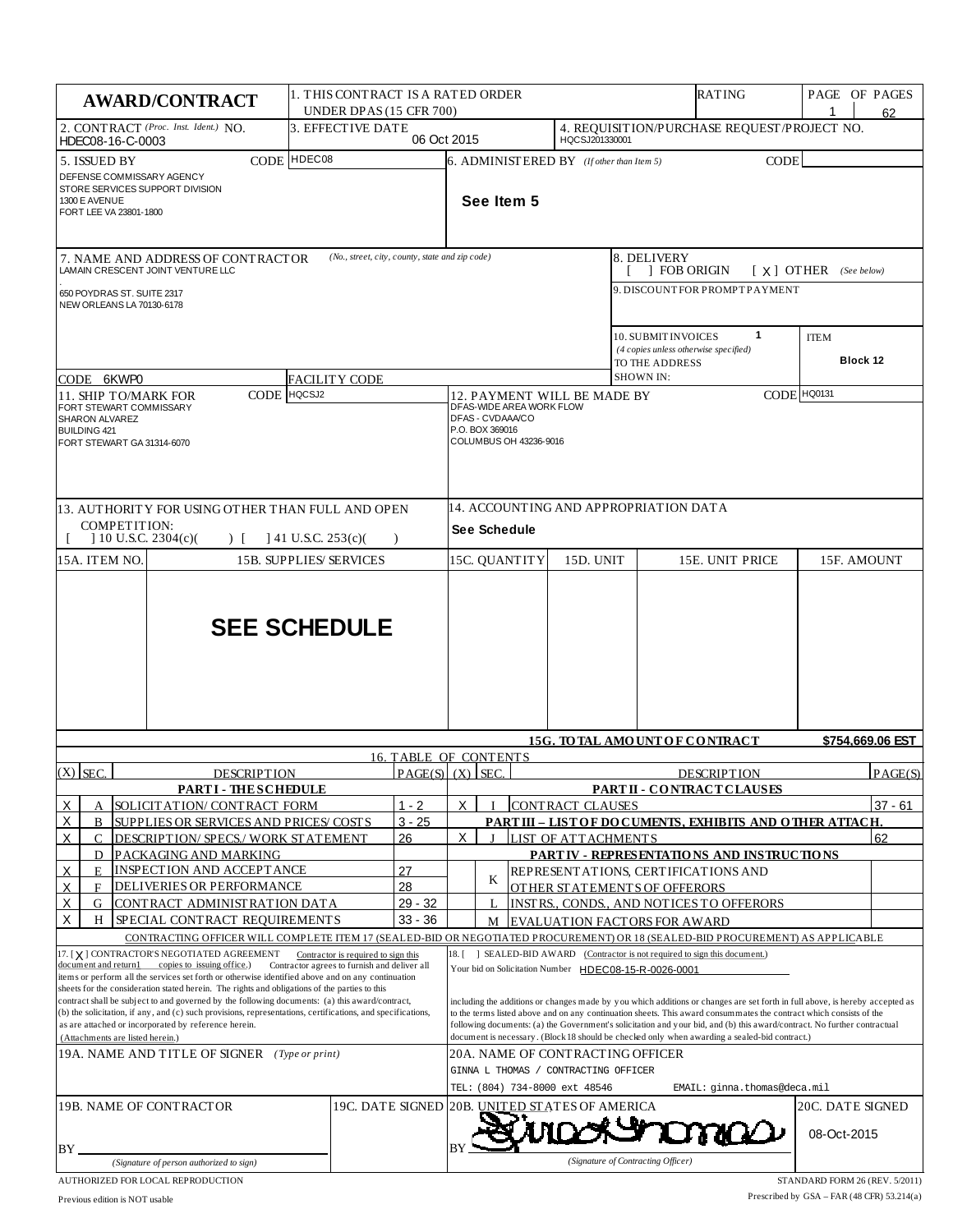| 1. THIS CONTRACT IS A RATED ORDER<br><b>AWARD/CONTRACT</b><br><b>UNDER DPAS (15 CFR 700)</b>                                                                                                                                                                                                                                                                                                                                                                                                                                                                                                                                                                                                                                                            |                    |                                                 |                                                               |                                                                                                                                                                                                                                                                                                                                                                                                                                                                                                                                                                                                                                                                                                       |                                                                                                                                    |                               |                               | RATING         | PAGE OF PAGES                                                                | 62                      |         |
|---------------------------------------------------------------------------------------------------------------------------------------------------------------------------------------------------------------------------------------------------------------------------------------------------------------------------------------------------------------------------------------------------------------------------------------------------------------------------------------------------------------------------------------------------------------------------------------------------------------------------------------------------------------------------------------------------------------------------------------------------------|--------------------|-------------------------------------------------|---------------------------------------------------------------|-------------------------------------------------------------------------------------------------------------------------------------------------------------------------------------------------------------------------------------------------------------------------------------------------------------------------------------------------------------------------------------------------------------------------------------------------------------------------------------------------------------------------------------------------------------------------------------------------------------------------------------------------------------------------------------------------------|------------------------------------------------------------------------------------------------------------------------------------|-------------------------------|-------------------------------|----------------|------------------------------------------------------------------------------|-------------------------|---------|
| 2. CONTRACT (Proc. Inst. Ident.) NO.<br>3. EFFECTIVE DATE<br>06 Oct 2015<br>HDEC08-16-C-0003                                                                                                                                                                                                                                                                                                                                                                                                                                                                                                                                                                                                                                                            |                    |                                                 | 4. REQUISITION/PURCHASE REQUEST/PROJECT NO.<br>HQCSJ201330001 |                                                                                                                                                                                                                                                                                                                                                                                                                                                                                                                                                                                                                                                                                                       |                                                                                                                                    |                               |                               |                |                                                                              |                         |         |
| CODE HDEC08<br>5. ISSUED BY<br>DEFENSE COMMISSARY AGENCY<br>STORE SERVICES SUPPORT DIVISION<br>1300 E AVENUE<br>FORT LEE VA 23801-1800                                                                                                                                                                                                                                                                                                                                                                                                                                                                                                                                                                                                                  |                    |                                                 |                                                               |                                                                                                                                                                                                                                                                                                                                                                                                                                                                                                                                                                                                                                                                                                       | 6. ADMINISTERED BY (If other than Item 5)<br><b>CODE</b><br>See Item 5                                                             |                               |                               |                |                                                                              |                         |         |
| 7. NAME AND ADDRESS OF CONTRACTOR<br>LAMAIN CRESCENT JOINT VENTURE LLC                                                                                                                                                                                                                                                                                                                                                                                                                                                                                                                                                                                                                                                                                  |                    | (No., street, city, county, state and zip code) |                                                               |                                                                                                                                                                                                                                                                                                                                                                                                                                                                                                                                                                                                                                                                                                       |                                                                                                                                    |                               |                               | 8. DELIVERY    | 1 FOB ORIGIN                                                                 | $[X]$ OTHER (See below) |         |
| 650 POYDRAS ST. SUITE 2317<br>NEW ORLEANS LA 70130-6178                                                                                                                                                                                                                                                                                                                                                                                                                                                                                                                                                                                                                                                                                                 |                    |                                                 |                                                               |                                                                                                                                                                                                                                                                                                                                                                                                                                                                                                                                                                                                                                                                                                       |                                                                                                                                    |                               |                               |                | 9. DISCOUNTFOR PROMPTPAYMENT                                                 |                         |         |
|                                                                                                                                                                                                                                                                                                                                                                                                                                                                                                                                                                                                                                                                                                                                                         |                    |                                                 |                                                               |                                                                                                                                                                                                                                                                                                                                                                                                                                                                                                                                                                                                                                                                                                       |                                                                                                                                    |                               |                               | TO THE ADDRESS | $\mathbf{1}$<br>10. SUBMIT INVOICES<br>(4 copies unless otherwise specified) | <b>ITEM</b><br>Block 12 |         |
| CODE 6KWP0<br><b>11. SHIP TO/MARK FOR</b>                                                                                                                                                                                                                                                                                                                                                                                                                                                                                                                                                                                                                                                                                                               | CODE HQCSJ2        | <b>FACILITY CODE</b>                            |                                                               | <b>SHOWN IN:</b><br>CODE HQ0131                                                                                                                                                                                                                                                                                                                                                                                                                                                                                                                                                                                                                                                                       |                                                                                                                                    |                               |                               |                |                                                                              |                         |         |
| FORT STEWART COMMISSARY<br>SHARON ALVAREZ<br><b>BUILDING 421</b><br>FORT STEWART GA 31314-6070<br>13. AUTHORITY FOR USING OTHER THAN FULL AND OPEN                                                                                                                                                                                                                                                                                                                                                                                                                                                                                                                                                                                                      |                    |                                                 |                                                               | 12. PAYMENT WILL BE MADE BY<br>DFAS-WIDE AREA WORK FLOW<br>DFAS - CVDAAA/CO<br>P.O. BOX 369016<br>COLUMBUS OH 43236-9016<br>14. ACCOUNTING AND APPROPRIATION DATA                                                                                                                                                                                                                                                                                                                                                                                                                                                                                                                                     |                                                                                                                                    |                               |                               |                |                                                                              |                         |         |
| COMPETITION:<br>$10$ U.S.C. 2304(c)(<br>$141$ U.S.C. 253(c)(<br>$\left  \cdot \right $<br>$\lambda$                                                                                                                                                                                                                                                                                                                                                                                                                                                                                                                                                                                                                                                     |                    |                                                 |                                                               | See Schedule                                                                                                                                                                                                                                                                                                                                                                                                                                                                                                                                                                                                                                                                                          |                                                                                                                                    |                               |                               |                |                                                                              |                         |         |
| 15A. ITEM NO.                                                                                                                                                                                                                                                                                                                                                                                                                                                                                                                                                                                                                                                                                                                                           |                    | <b>15B. SUPPLIES/SERVICES</b>                   |                                                               |                                                                                                                                                                                                                                                                                                                                                                                                                                                                                                                                                                                                                                                                                                       |                                                                                                                                    | 15C. QUANTITY                 | 15D. UNIT                     |                | 15E. UNIT PRICE                                                              | 15F. AMOUNT             |         |
|                                                                                                                                                                                                                                                                                                                                                                                                                                                                                                                                                                                                                                                                                                                                                         |                    | <b>SEE SCHEDULE</b>                             |                                                               |                                                                                                                                                                                                                                                                                                                                                                                                                                                                                                                                                                                                                                                                                                       |                                                                                                                                    |                               |                               |                |                                                                              |                         |         |
|                                                                                                                                                                                                                                                                                                                                                                                                                                                                                                                                                                                                                                                                                                                                                         |                    |                                                 |                                                               | <b>15G. TO TAL AMOUNT OF CONTRACT</b><br>\$754,669.06 EST<br><b>16. TABLE OF CONTENTS</b>                                                                                                                                                                                                                                                                                                                                                                                                                                                                                                                                                                                                             |                                                                                                                                    |                               |                               |                |                                                                              |                         |         |
| $(X)$ SEC.                                                                                                                                                                                                                                                                                                                                                                                                                                                                                                                                                                                                                                                                                                                                              | <b>DESCRIPTION</b> |                                                 | $PAGE(S)$ $(X)$ SEC.                                          |                                                                                                                                                                                                                                                                                                                                                                                                                                                                                                                                                                                                                                                                                                       |                                                                                                                                    |                               |                               |                | <b>DESCRIPTION</b>                                                           |                         | PAGE(S) |
| <b>PARTI-THESCHEDULE</b>                                                                                                                                                                                                                                                                                                                                                                                                                                                                                                                                                                                                                                                                                                                                |                    |                                                 |                                                               | PARTII - CONTRACT CLAUSES                                                                                                                                                                                                                                                                                                                                                                                                                                                                                                                                                                                                                                                                             |                                                                                                                                    |                               |                               |                |                                                                              |                         |         |
| SOLICIT AT ION/ CONTRACT FORM<br>X<br>А                                                                                                                                                                                                                                                                                                                                                                                                                                                                                                                                                                                                                                                                                                                 |                    |                                                 | $1 - 2$                                                       | X<br><b>CONTRACT CLAUSES</b><br>$37 - 61$                                                                                                                                                                                                                                                                                                                                                                                                                                                                                                                                                                                                                                                             |                                                                                                                                    |                               |                               |                |                                                                              |                         |         |
| $\times$<br>SUPPLIES OR SERVICES AND PRICES/COSTS<br>B<br>$\overline{X}$<br>C<br>DESCRIPTION/ SPECS./ WORK STATEMENT                                                                                                                                                                                                                                                                                                                                                                                                                                                                                                                                                                                                                                    |                    |                                                 | $3 - 25$<br>26                                                | PART III - LIST OF DOCUMENTS, EXHIBITS AND OTHER ATTACH.<br>X<br>LIST OF ATTACHMENTS                                                                                                                                                                                                                                                                                                                                                                                                                                                                                                                                                                                                                  |                                                                                                                                    |                               |                               |                | 62                                                                           |                         |         |
| PACKAGING AND MARKING<br>D                                                                                                                                                                                                                                                                                                                                                                                                                                                                                                                                                                                                                                                                                                                              |                    |                                                 |                                                               | PART IV - REPRESENTATIONS AND INSTRUCTIONS                                                                                                                                                                                                                                                                                                                                                                                                                                                                                                                                                                                                                                                            |                                                                                                                                    |                               |                               |                |                                                                              |                         |         |
| X<br>INSPECTION AND ACCEPTANCE<br>E.                                                                                                                                                                                                                                                                                                                                                                                                                                                                                                                                                                                                                                                                                                                    |                    |                                                 | 27                                                            |                                                                                                                                                                                                                                                                                                                                                                                                                                                                                                                                                                                                                                                                                                       | K                                                                                                                                  |                               |                               |                | REPRESENT ATIONS, CERTIFICATIONS AND                                         |                         |         |
| X<br>DELIVERIES OR PERFORMANCE<br>F                                                                                                                                                                                                                                                                                                                                                                                                                                                                                                                                                                                                                                                                                                                     |                    |                                                 | 28                                                            |                                                                                                                                                                                                                                                                                                                                                                                                                                                                                                                                                                                                                                                                                                       |                                                                                                                                    |                               |                               |                | OTHER STATEMENTS OF OFFERORS                                                 |                         |         |
| $29 - 32$<br>X<br>CONTRACT ADMINISTRATION DATA<br>G<br>X<br>$33 - 36$                                                                                                                                                                                                                                                                                                                                                                                                                                                                                                                                                                                                                                                                                   |                    |                                                 |                                                               | INSTRS., CONDS., AND NOTICES TO OFFERORS<br><b>EVALUATION FACTORS FOR AWARD</b>                                                                                                                                                                                                                                                                                                                                                                                                                                                                                                                                                                                                                       |                                                                                                                                    |                               |                               |                |                                                                              |                         |         |
| SPECIAL CONTRACT REQUIREMENTS<br>H                                                                                                                                                                                                                                                                                                                                                                                                                                                                                                                                                                                                                                                                                                                      |                    |                                                 |                                                               |                                                                                                                                                                                                                                                                                                                                                                                                                                                                                                                                                                                                                                                                                                       | М<br>CONTRACTING OFFICER WILL COMPLETE ITEM 17 (SEALED-BID OR NEGOTIATED PROCUREMENT) OR 18 (SEALED-BID PROCUREMENT) AS APPLICABLE |                               |                               |                |                                                                              |                         |         |
| 17. [X] CONTRACTOR'S NEGOTIATED AGREEMENT<br>Contractor is required to sign this<br>document and return1 copies to issuing office.)<br>Contractor agrees to furnish and deliver all<br>items or perform all the services set forth or otherwise identified above and on any continuation<br>sheets for the consideration stated herein. The rights and obligations of the parties to this<br>contract shall be subject to and governed by the following documents: (a) this award/contract,<br>(b) the solicitation, if any, and (c) such provisions, representations, certifications, and specifications,<br>as are attached or incorporated by reference herein.<br>(Attachments are listed herein.)<br>19A. NAME AND TITLE OF SIGNER (Type or print) |                    |                                                 |                                                               | 18. [ ] SEALED-BID AWARD (Contractor is not required to sign this document.)<br>Your bid on Solicitation Number HDEC08-15-R-0026-0001<br>including the additions or changes made by you which additions or changes are set forth in full above, is hereby accepted as<br>to the terms listed above and on any continuation sheets. This award consummates the contract which consists of the<br>following documents: (a) the Government's solicitation and your bid, and (b) this award/contract. No further contractual<br>document is necessary. (Block 18 should be checked only when awarding a sealed-bid contract.)<br>20A. NAME OF CONTRACTING OFFICER<br>GINNA L THOMAS / CONTRACTING OFFICER |                                                                                                                                    |                               |                               |                |                                                                              |                         |         |
|                                                                                                                                                                                                                                                                                                                                                                                                                                                                                                                                                                                                                                                                                                                                                         |                    |                                                 |                                                               |                                                                                                                                                                                                                                                                                                                                                                                                                                                                                                                                                                                                                                                                                                       |                                                                                                                                    |                               | TEL: (804) 734-8000 ext 48546 |                | EMAIL: ginna.thomas@deca.mil                                                 |                         |         |
| 19C. DATE SIGNED<br>19B. NAME OF CONTRACTOR                                                                                                                                                                                                                                                                                                                                                                                                                                                                                                                                                                                                                                                                                                             |                    |                                                 |                                                               |                                                                                                                                                                                                                                                                                                                                                                                                                                                                                                                                                                                                                                                                                                       |                                                                                                                                    | 20B. UNITED STATES OF AMERICA |                               |                | 20C. DATE SIGNED<br>08-Oct-2015                                              |                         |         |
| BY.<br>(Signature of person authorized to sign)                                                                                                                                                                                                                                                                                                                                                                                                                                                                                                                                                                                                                                                                                                         |                    |                                                 | (Signature of Contracting Officer)                            |                                                                                                                                                                                                                                                                                                                                                                                                                                                                                                                                                                                                                                                                                                       |                                                                                                                                    |                               |                               |                |                                                                              |                         |         |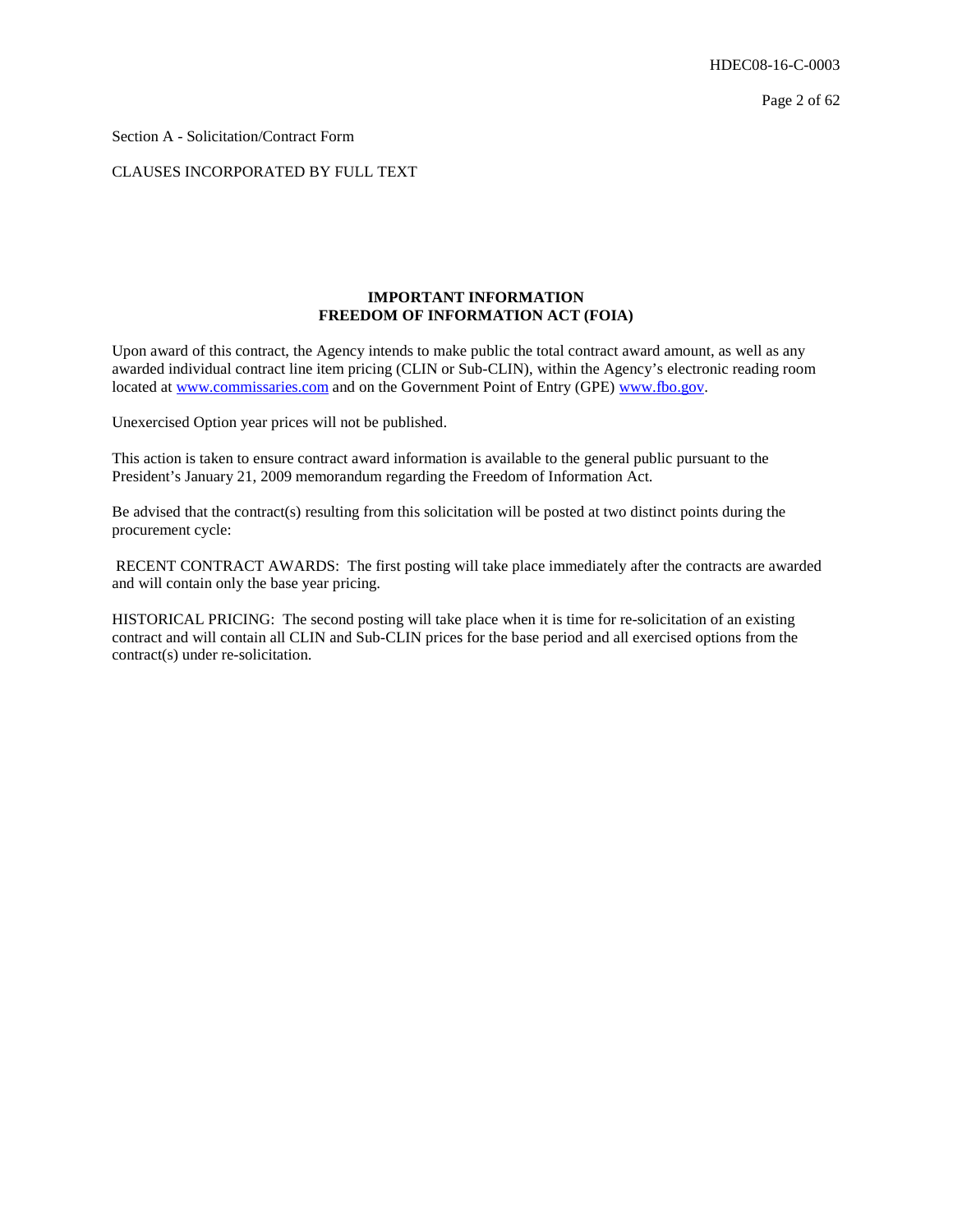Section A - Solicitation/Contract Form

## CLAUSES INCORPORATED BY FULL TEXT

## **IMPORTANT INFORMATION FREEDOM OF INFORMATION ACT (FOIA)**

Upon award of this contract, the Agency intends to make public the total contract award amount, as well as any awarded individual contract line item pricing (CLIN or Sub-CLIN), within the Agency's electronic reading room located at [www.commissaries.com](http://www.commissaries.com/) and on the Government Point of Entry (GPE) [www.fbo.gov.](http://www.fbo.gov/)

Unexercised Option year prices will not be published.

This action is taken to ensure contract award information is available to the general public pursuant to the President's January 21, 2009 memorandum regarding the Freedom of Information Act.

Be advised that the contract(s) resulting from this solicitation will be posted at two distinct points during the procurement cycle:

RECENT CONTRACT AWARDS: The first posting will take place immediately after the contracts are awarded and will contain only the base year pricing.

HISTORICAL PRICING: The second posting will take place when it is time for re-solicitation of an existing contract and will contain all CLIN and Sub-CLIN prices for the base period and all exercised options from the contract(s) under re-solicitation.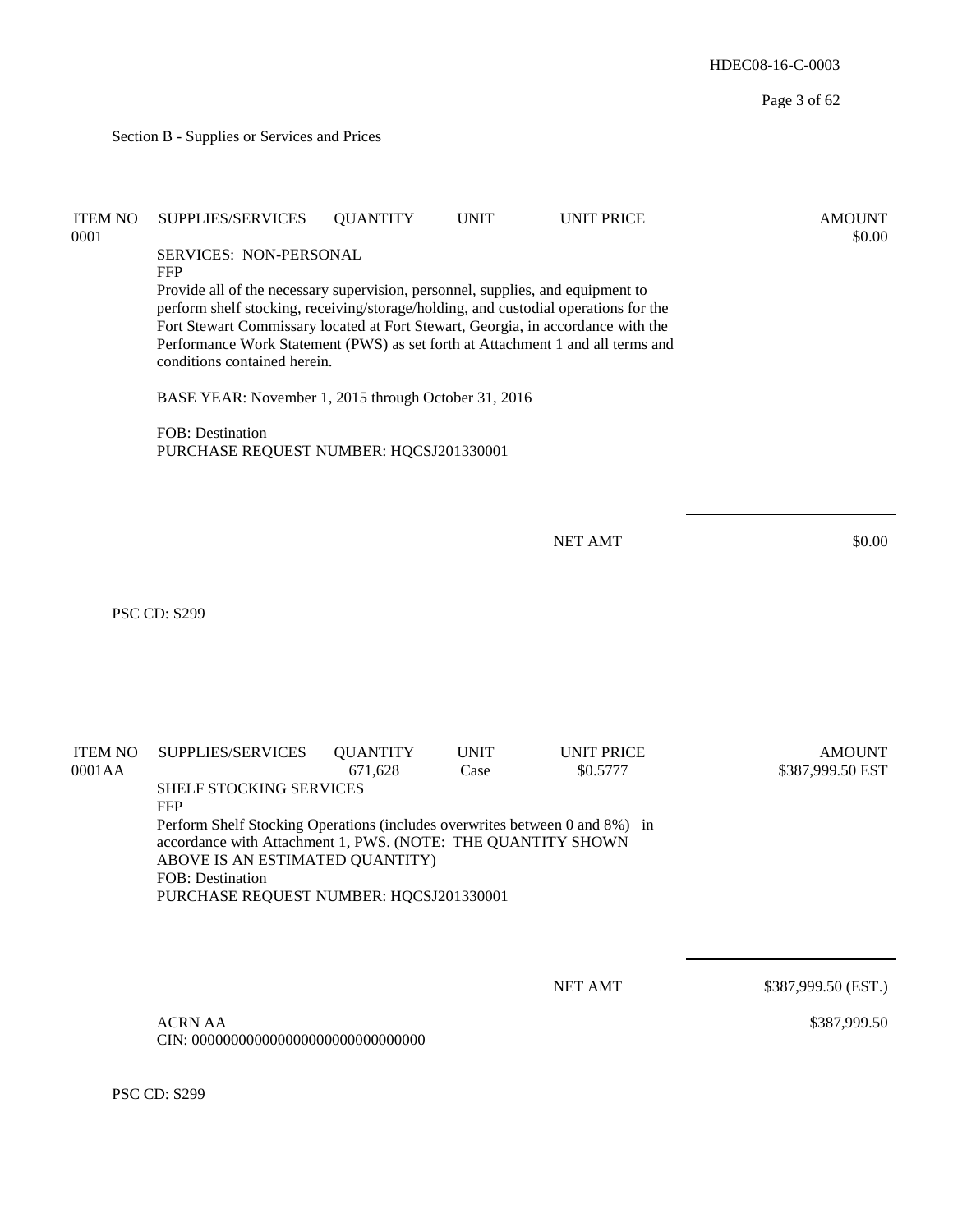HDEC08-16-C-0003 Page 3 of 62 Section B - Supplies or Services and Prices ITEM NO SUPPLIES/SERVICES QUANTITY UNIT UNIT PRICE AMOUNT  $\text{0001}$  \$0.00 SERVICES: NON-PERSONAL FFP Provide all of the necessary supervision, personnel, supplies, and equipment to perform shelf stocking, receiving/storage/holding, and custodial operations for the Fort Stewart Commissary located at Fort Stewart, Georgia, in accordance with the Performance Work Statement (PWS) as set forth at Attachment 1 and all terms and conditions contained herein. BASE YEAR: November 1, 2015 through October 31, 2016 FOB: Destination PURCHASE REQUEST NUMBER: HQCSJ201330001 NET AMT \$0.00 PSC CD: S299 ITEM NO SUPPLIES/SERVICES QUANTITY UNIT UNIT PRICE AMOUNT 0001AA 671,628 Case \$0.5777 \$387,999.50 EST SHELF STOCKING SERVICES FFP Perform Shelf Stocking Operations (includes overwrites between 0 and 8%) in accordance with Attachment 1, PWS. (NOTE: THE QUANTITY SHOWN ABOVE IS AN ESTIMATED QUANTITY) FOB: Destination PURCHASE REQUEST NUMBER: HQCSJ201330001 NET AMT \$387,999.50 (EST.) ACRN AA CIN: 000000000000000000000000000000 \$387,999.50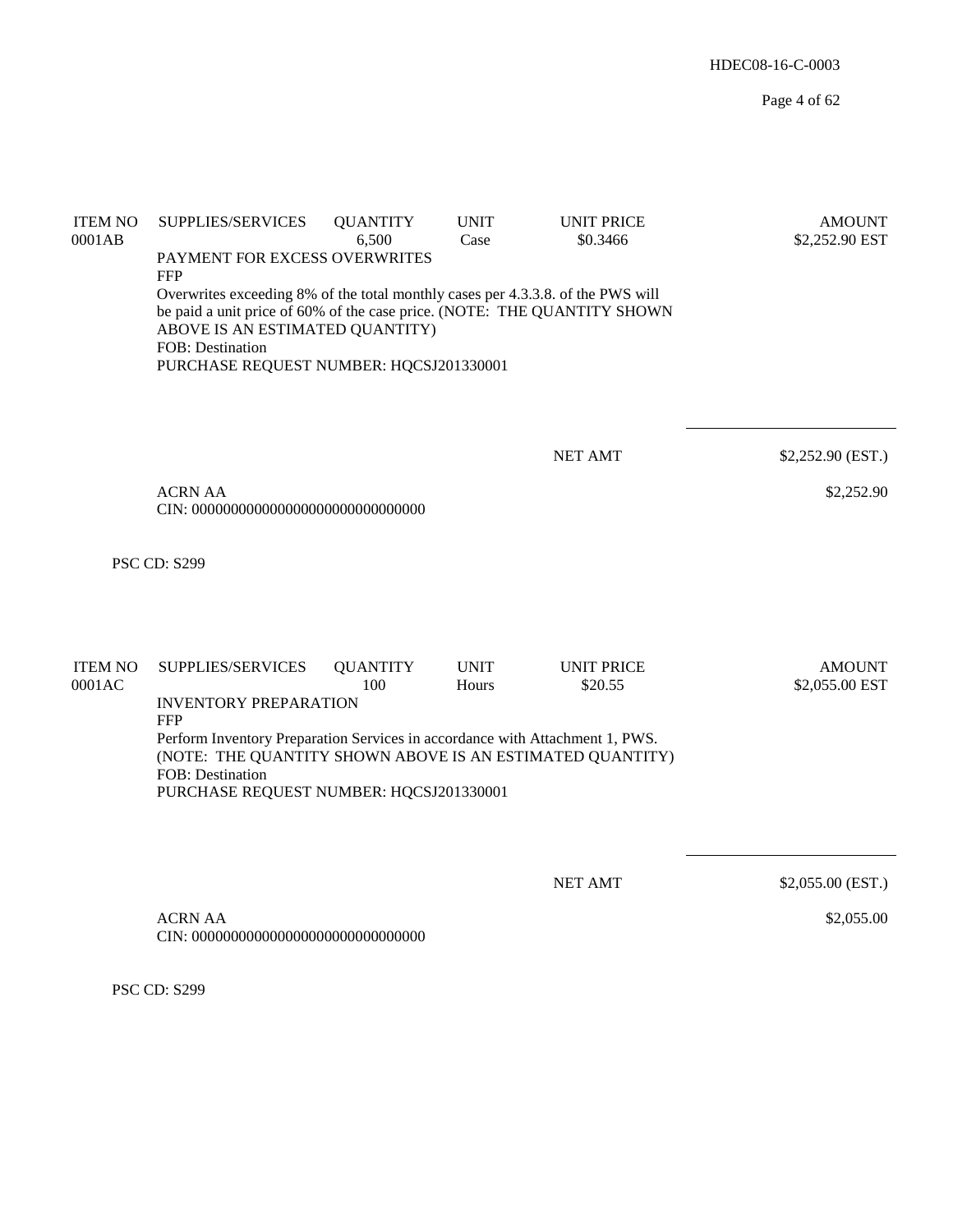| <b>ITEM NO</b><br>0001AB | SUPPLIES/SERVICES<br>PAYMENT FOR EXCESS OVERWRITES<br><b>FFP</b><br>Overwrites exceeding 8% of the total monthly cases per 4.3.3.8. of the PWS will<br>be paid a unit price of 60% of the case price. (NOTE: THE QUANTITY SHOWN<br>ABOVE IS AN ESTIMATED QUANTITY)<br>FOB: Destination<br>PURCHASE REQUEST NUMBER: HQCSJ201330001 | <b>QUANTITY</b><br>6,500 | <b>UNIT</b><br>Case  | <b>UNIT PRICE</b><br>\$0.3466 | <b>AMOUNT</b><br>\$2,252.90 EST |
|--------------------------|-----------------------------------------------------------------------------------------------------------------------------------------------------------------------------------------------------------------------------------------------------------------------------------------------------------------------------------|--------------------------|----------------------|-------------------------------|---------------------------------|
|                          |                                                                                                                                                                                                                                                                                                                                   |                          |                      | <b>NET AMT</b>                | \$2,252.90 (EST.)               |
|                          | <b>ACRN AA</b>                                                                                                                                                                                                                                                                                                                    |                          |                      |                               | \$2,252.90                      |
|                          | <b>PSC CD: S299</b>                                                                                                                                                                                                                                                                                                               |                          |                      |                               |                                 |
| <b>ITEM NO</b><br>0001AC | SUPPLIES/SERVICES<br><b>INVENTORY PREPARATION</b><br><b>FFP</b><br>Perform Inventory Preparation Services in accordance with Attachment 1, PWS.<br>(NOTE: THE QUANTITY SHOWN ABOVE IS AN ESTIMATED QUANTITY)<br>FOB: Destination<br>PURCHASE REQUEST NUMBER: HQCSJ201330001                                                       | <b>QUANTITY</b><br>100   | <b>UNIT</b><br>Hours | <b>UNIT PRICE</b><br>\$20.55  | <b>AMOUNT</b><br>\$2,055.00 EST |
|                          | ACRN AA                                                                                                                                                                                                                                                                                                                           |                          |                      | <b>NET AMT</b>                | \$2,055.00 (EST.)<br>\$2,055.00 |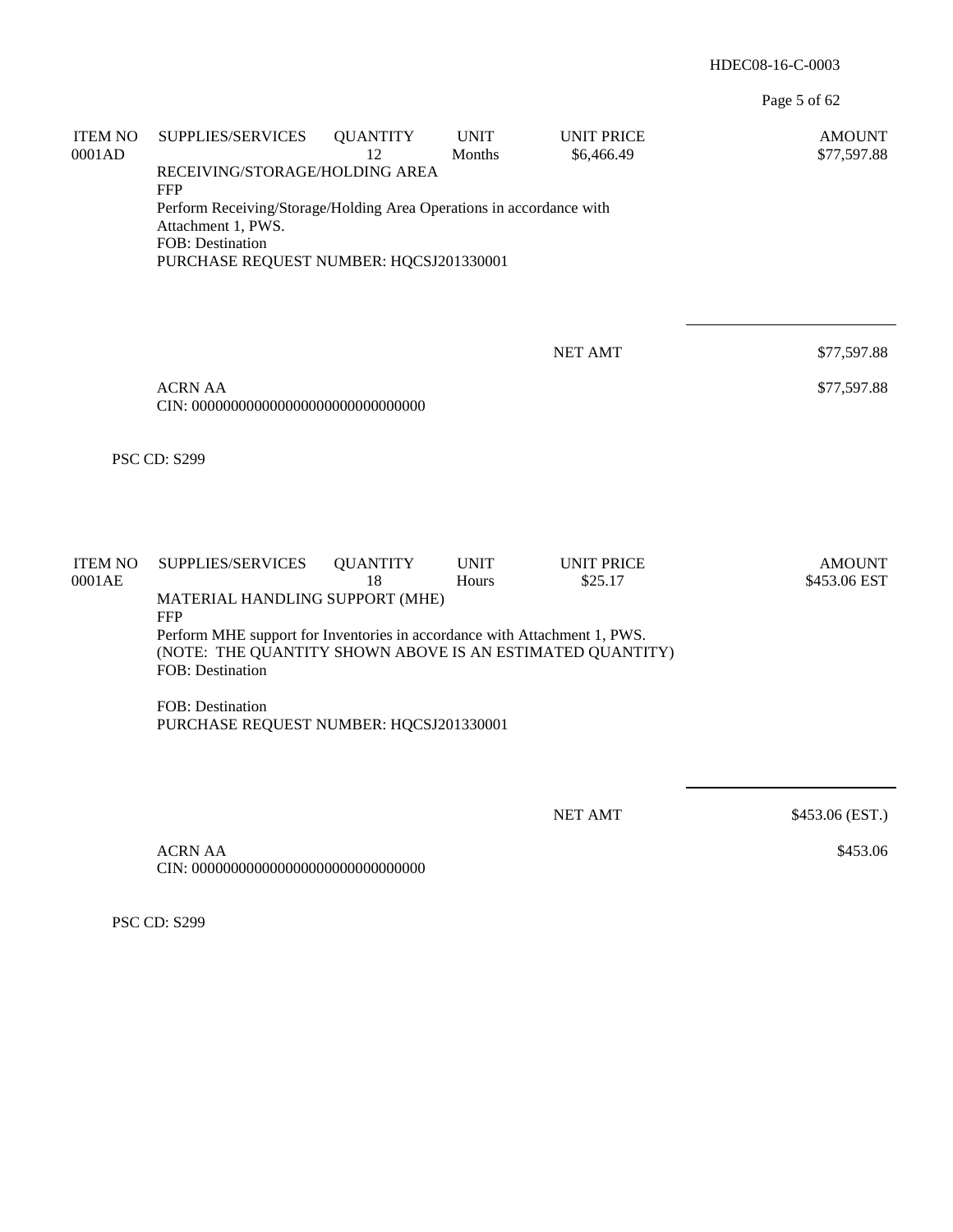Page 5 of 62

| <b>ITEM NO</b><br>0001AD | SUPPLIES/SERVICES<br><b>UNIT PRICE</b><br><b>QUANTITY</b><br><b>UNIT</b><br><b>AMOUNT</b><br>12<br>Months<br>\$6,466.49<br>\$77,597.88<br>RECEIVING/STORAGE/HOLDING AREA<br><b>FFP</b> |                 |             |                   |                 |  |  |  |  |  |
|--------------------------|----------------------------------------------------------------------------------------------------------------------------------------------------------------------------------------|-----------------|-------------|-------------------|-----------------|--|--|--|--|--|
|                          | Perform Receiving/Storage/Holding Area Operations in accordance with<br>Attachment 1, PWS.<br>FOB: Destination<br>PURCHASE REQUEST NUMBER: HQCSJ201330001                              |                 |             |                   |                 |  |  |  |  |  |
|                          |                                                                                                                                                                                        |                 |             |                   |                 |  |  |  |  |  |
|                          |                                                                                                                                                                                        |                 |             | <b>NET AMT</b>    | \$77,597.88     |  |  |  |  |  |
|                          | <b>ACRN AA</b>                                                                                                                                                                         | \$77,597.88     |             |                   |                 |  |  |  |  |  |
|                          | <b>PSC CD: S299</b>                                                                                                                                                                    |                 |             |                   |                 |  |  |  |  |  |
| <b>ITEM NO</b>           | SUPPLIES/SERVICES                                                                                                                                                                      | <b>QUANTITY</b> | <b>UNIT</b> | <b>UNIT PRICE</b> | <b>AMOUNT</b>   |  |  |  |  |  |
| 0001AE                   | 18<br>Hours<br>\$25.17<br>\$453.06 EST<br>MATERIAL HANDLING SUPPORT (MHE)<br><b>FFP</b>                                                                                                |                 |             |                   |                 |  |  |  |  |  |
|                          | Perform MHE support for Inventories in accordance with Attachment 1, PWS.<br>(NOTE: THE QUANTITY SHOWN ABOVE IS AN ESTIMATED QUANTITY)<br>FOB: Destination                             |                 |             |                   |                 |  |  |  |  |  |
|                          | FOB: Destination<br>PURCHASE REQUEST NUMBER: HQCSJ201330001                                                                                                                            |                 |             |                   |                 |  |  |  |  |  |
|                          |                                                                                                                                                                                        |                 |             |                   |                 |  |  |  |  |  |
|                          |                                                                                                                                                                                        |                 |             | <b>NET AMT</b>    | \$453.06 (EST.) |  |  |  |  |  |
|                          | <b>ACRN AA</b>                                                                                                                                                                         |                 | \$453.06    |                   |                 |  |  |  |  |  |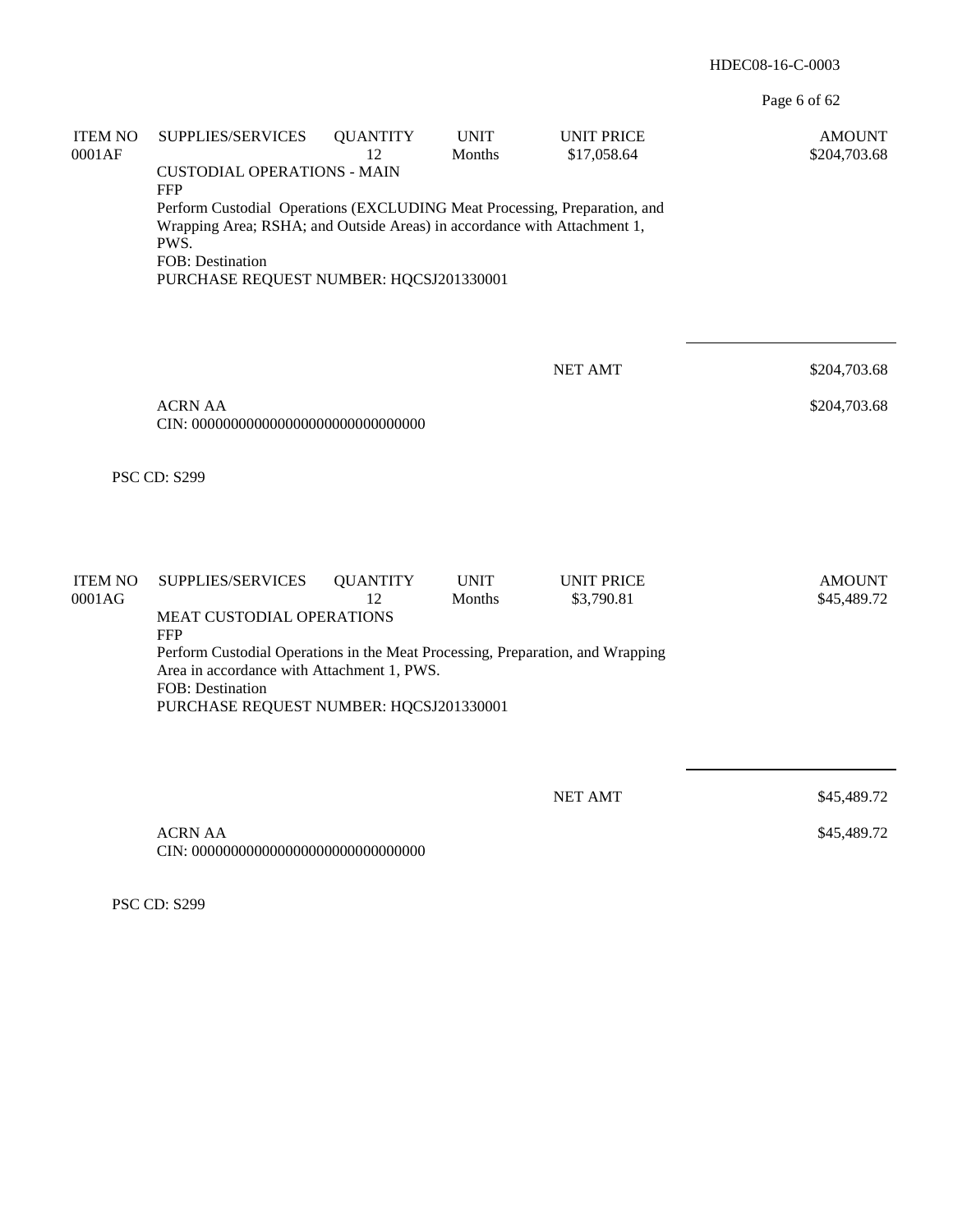Page 6 of 62

| <b>ITEM NO</b><br>0001AF | SUPPLIES/SERVICES<br><b>CUSTODIAL OPERATIONS - MAIN</b>                                                                                                                                                                                    | <b>QUANTITY</b><br>12 | <b>UNIT</b><br>Months | <b>UNIT PRICE</b><br>\$17,058.64 | <b>AMOUNT</b><br>\$204,703.68 |  |  |  |
|--------------------------|--------------------------------------------------------------------------------------------------------------------------------------------------------------------------------------------------------------------------------------------|-----------------------|-----------------------|----------------------------------|-------------------------------|--|--|--|
|                          | <b>FFP</b><br>Perform Custodial Operations (EXCLUDING Meat Processing, Preparation, and<br>Wrapping Area; RSHA; and Outside Areas) in accordance with Attachment 1,<br>PWS.<br>FOB: Destination<br>PURCHASE REQUEST NUMBER: HQCSJ201330001 |                       |                       |                                  |                               |  |  |  |
|                          |                                                                                                                                                                                                                                            |                       |                       | <b>NET AMT</b>                   | \$204,703.68                  |  |  |  |
|                          | <b>ACRN AA</b><br>\$204,703.68                                                                                                                                                                                                             |                       |                       |                                  |                               |  |  |  |
|                          | <b>PSC CD: S299</b>                                                                                                                                                                                                                        |                       |                       |                                  |                               |  |  |  |
| <b>ITEM NO</b>           | SUPPLIES/SERVICES                                                                                                                                                                                                                          | <b>QUANTITY</b>       | <b>UNIT</b>           | <b>UNIT PRICE</b>                | <b>AMOUNT</b>                 |  |  |  |
| 0001AG                   | MEAT CUSTODIAL OPERATIONS<br><b>FFP</b>                                                                                                                                                                                                    | 12                    | Months                | \$3,790.81                       | \$45,489.72                   |  |  |  |
|                          | Perform Custodial Operations in the Meat Processing, Preparation, and Wrapping<br>Area in accordance with Attachment 1, PWS.<br>FOB: Destination<br>PURCHASE REQUEST NUMBER: HQCSJ201330001                                                |                       |                       |                                  |                               |  |  |  |
|                          |                                                                                                                                                                                                                                            |                       |                       |                                  |                               |  |  |  |
|                          |                                                                                                                                                                                                                                            |                       |                       | <b>NET AMT</b>                   | \$45,489.72                   |  |  |  |
|                          | <b>ACRN AA</b>                                                                                                                                                                                                                             |                       |                       |                                  | \$45,489.72                   |  |  |  |